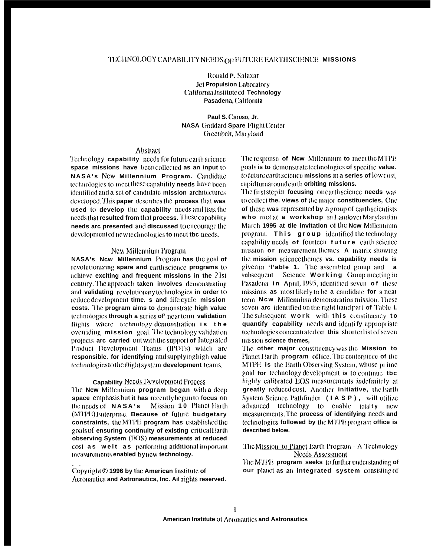Ronald P. Salazar **Jct Propulsion Laboratory** California Institute of Technology Pasadena, California

Paul S. Caruso, Jr. **NASA Goddard Spare Flight Center** Greenbelt, Maryland

### Abstract

Technology capability needs for future earth science space missions have beencollected as an input to NASA's New Millennium Program. Candidate technologies to meet these capability needs have been identified and a set of candidate mission architectures developed. This paper describes the process that was used to develop the capability needs and lists the needs that resulted from that process. These capability needs arc presented and discussed to encourage the development of new technologies to meet tbc needs.

### New Millennium Program

NASA's Ncw Millennium Program has the goal of revolutionizing spare and earth science programs to achieve exciting and frequent missions in the 21st century. The approach taken involves demonstrating and validating revolutionary technologies in order to reduce development time. s and life cycle mission costs. The program aims to demonstrate high value technologies through a series of near term validation flights where technology demonstration is the overriding mission goal. The technology validation projects are carried out with the support of Integrated Product Development Teams (IPDTs) which are responsible. for identifying and supplying high value technologies to the flight system development teams.

### **Capability Needs Deyelopment Process**

The New Millennium program began with a deep space emphasis but it has recently begun to focus on the needs of NASA's Mission 10 Planet Earth (MTPE) Enterprise. Because of future budgetary constraints, the MTPE program has established the goals of ensuring continuity of existing critical Earth observing System (EOS) measurements at reduced cost as welt as performing additional important measurements enabled by new technology.

Copyright © 1996 by the American Institute of Aeronautics and Astronautics, Inc. Ail rights reserved. The response of New Millennium to meet the MTPE goals is to demonstrate technologies of specific value. to future earth science missions in a series of low cost. rapidturnaround carth orbiting missions.

The first step in focusing on earth science needs was to collect the. views of the major constituencies, One of these was represented by a group of earth scientists who met at a workshop in Landover Maryland in March 1995 at tile invitation of the New Millennium program. This group identified the technology capability needs of fourteen future earth science mission or measurement themes. A matrix showing the mission science themes vs. capability needs is given in 'l'able 1. The assembled group and a subsequent Science Working Group meeting in Pasadena in April, 1995, identified seven of these missions as most likely to be a candidate for a near term Ncw Millennium demonstration mission. These seven arc identified on the right hand part of Table i. The subsequent work with this constituency to quantify capability needs and identify appropriate technologies concentrated on this shorter list of seven mission science themes.

The other major constituency was the Mission to Planet Earth program office. The centerpiece of the MTPE is the Earth Observing System, whose prime goal for technology development is to continue tbc highly calibrated EOS measurements indefinitely at greatly reduced cost. Another initiative, the Earth System Science Pathfinder (IASP), will utilize advanced technology to enable totalty new measurements. The process of identifying needs and technologies followed by the MTPE program office is described below.

### The Mission to Planet Earth Program - A Technology **Needs Assessment**

The MTPE program seeks to further understanding of our planet as an integrated system consisting of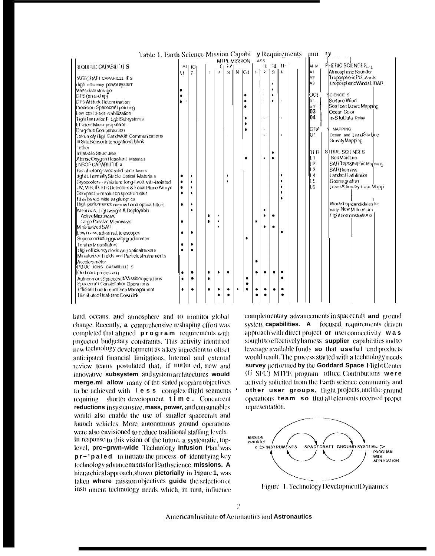| Table 1. Earth Science Mission Capabi                                         |              |               |           |    |                     |              |                |     |                |              |                  | y Requirements | $\mu$ mn                               |                            |
|-------------------------------------------------------------------------------|--------------|---------------|-----------|----|---------------------|--------------|----------------|-----|----------------|--------------|------------------|----------------|----------------------------------------|----------------------------|
|                                                                               |              |               |           |    | <b>MTPE MISSION</b> |              |                | ASS |                |              |                  |                |                                        |                            |
| REQUIRED CAPABILITIES                                                         |              | All 10        |           | C١ | EA.                 |              |                |     |                |              | <b>IE RE IFI</b> |                | AI M                                   | PHERIC SCIENCES            |
|                                                                               | $\mathbf{H}$ | $\mathcal{P}$ |           | 2  | $\overline{3}$      | M            | G <sub>1</sub> | тH  | $\mathfrak{p}$ | 3            | $\overline{4}$   |                | A <sub>1</sub>                         | Atmospheric Sounder        |
| YACLORAFICAPAHI111 IES                                                        |              |               |           |    |                     |              |                |     |                |              |                  |                | A?                                     | TroposphericPollutants     |
| rlight efficiency power system                                                |              |               |           |    |                     |              |                |     |                |              |                  |                | A <sub>3</sub>                         | 1 ropospheric Winds LIDAR  |
| Mass data storage                                                             |              |               |           |    |                     |              |                |     |                | I۱           |                  |                |                                        |                            |
| GPS (on a-chip)                                                               |              |               |           |    |                     |              | ٠              |     |                | $\mathbf{r}$ |                  |                | <b>OCE</b>                             | <b>SCIENCE S</b>           |
| <b>GPS AttitudeDetermination</b>                                              |              |               |           |    |                     |              | $\bullet$      |     |                | b            |                  |                | 01                                     | Surface Wind               |
| Precision Spacecraft pointing                                                 |              |               |           |    |                     |              | $\bullet$      |     |                |              |                  |                | $\overset{\circ}{0}\overset{\circ}{3}$ | Sea Ice t lazard Mapping   |
| Low cost 3-axis stabilization                                                 |              |               |           |    |                     |              |                |     |                |              |                  |                |                                        | Ocean Color                |
| Tight formation Filight Subsystems                                            |              |               |           |    |                     |              |                |     |                |              |                  |                | 104                                    | In-SituData Relay          |
| EfficientMicro-propulsion                                                     |              |               |           |    |                     |              | $\bullet$      |     |                |              |                  |                |                                        |                            |
| Drag-free Compensation                                                        |              |               |           |    |                     |              |                |     | $\mathbf{r}$   |              |                  |                | <b>GRA</b>                             | <b>MAPPING</b>             |
| Extremely High Bandwidth Communications                                       |              |               |           |    |                     |              |                |     |                |              |                  |                | G <sub>1</sub>                         | Ocean and LandSurface      |
| III SituSensorInten ogation/Upfink                                            |              |               |           |    |                     |              |                |     |                |              |                  |                |                                        | Gravity Mapping            |
| <b>Tether</b>                                                                 |              |               |           |    |                     |              |                |     |                |              |                  |                |                                        |                            |
| <b>Inflatable Structures</b>                                                  |              |               |           |    |                     |              |                |     |                |              |                  |                | her                                    | STRIAL SCIENCES            |
| AtomicOxygen flesistant Materials                                             |              |               |           |    |                     |              | $\bullet$      |     | $\mathbf b$    | $\bullet$    |                  |                | l 1                                    | Soil Moisture              |
| [NSOR CAPAB‼ITIE S                                                            |              |               |           |    |                     |              |                |     |                |              |                  |                | ll 2                                   | SAR Topographic Manning    |
| Reliable long-lived solid-state lasers                                        |              |               |           |    |                     |              |                |     |                |              |                  |                | ILЗ                                    | <b>SAR Biomass</b>         |
| Light 1 hermally Stable Optical Materials                                     | ٠            | ٠             |           |    |                     |              |                |     |                |              | ٠                |                | 4 I                                    | Landsat Pathfinder         |
| Cryocoolers - miniature, long-lived, vib -isolated                            | $\bullet$    | ٠             |           |    |                     |              |                |     |                |              |                  |                | 5                                      | Geomagnetism               |
| UV, VIS, IR, FIR Detectors & Focal Plane Arrays                               | $\bullet$    | b.            |           |    |                     |              |                |     |                |              |                  |                | 6                                      | Laser Altimetry 1 opoMappi |
| Compact hi-resolution spectrometer                                            | $\bullet$    |               |           |    |                     |              |                |     |                |              |                  |                |                                        |                            |
| Fiberbased wide angle optics                                                  |              |               |           |    |                     |              |                |     |                |              |                  |                |                                        |                            |
| High performance narrow band optical filters                                  | $\bullet$    | $\bullet$     |           |    |                     |              |                |     |                |              |                  |                |                                        | Workshop candidates for    |
| Antennas, Lightweight & Deployable                                            |              | г             |           |    |                     |              |                |     | $\bullet$      |              |                  |                |                                        | early New Millerviium      |
| Active Microwave                                                              |              |               |           | D  |                     |              |                |     | $\blacksquare$ |              |                  |                |                                        | flightdemonstrations       |
| Large Passive Microwave                                                       | ٠            |               |           |    |                     |              |                | ٠   |                |              |                  |                |                                        |                            |
| Miniaturized SAR                                                              |              |               |           |    |                     |              |                |     | ٠              |              |                  |                |                                        |                            |
| Low mass, athermal, telescopes                                                | $\bullet$    | $\bullet$     |           |    |                     |              | $\bullet$      |     |                |              |                  |                |                                        |                            |
| Superconducting gravity gradiometer                                           |              |               |           |    |                     |              |                |     |                |              |                  |                |                                        |                            |
| Terahertz oscillators                                                         | ٠            | ٠             |           |    |                     |              |                |     |                |              |                  |                |                                        |                            |
| t ligh-efficiency diode and optical moxers                                    |              | $\bullet$     |           |    |                     |              |                |     |                |              |                  |                |                                        |                            |
| Miniaturized Fields and Particles Instruments                                 |              |               |           |    |                     |              |                |     |                |              |                  |                |                                        |                            |
| Accelerometer                                                                 |              |               |           |    |                     |              |                | ٠   |                |              |                  |                |                                        |                            |
| PHAI IONS CAPAHII111 S                                                        |              | ٠             | $\bullet$ | ь  |                     |              |                | ٠   |                | ٠            | $\bullet$        |                |                                        |                            |
| Or⊬board processmg                                                            |              |               | $\bullet$ |    |                     |              | $\bullet$      |     |                |              | $\bullet$        |                |                                        |                            |
| AutonomousSpacecraft/Missionoperations<br>Spacecraft Constellation Operations | $\bullet$    | ٠             |           |    |                     |              | ٠              |     |                |              |                  |                |                                        |                            |
| Efficient End-to-end Data Management                                          | $\bullet$    | $\bullet$     | $\bullet$ |    | ٠                   | $\mathbf{r}$ | ٠              |     |                |              | $\bullet$        |                |                                        |                            |
| Distributed Real-time Downlink                                                |              |               |           |    |                     |              |                |     |                |              |                  |                |                                        |                            |
|                                                                               |              |               |           |    |                     |              |                |     |                |              |                  |                |                                        |                            |
|                                                                               |              |               |           |    |                     |              |                |     |                |              |                  |                |                                        |                            |

land, oceans, and atmosphere and to monitor global change. Recently, a comprehensive reshaping effort was completed that aligned **program** requirements with projected budgetary constraints. This activity identified new technology development as a key ingredient to offset anticipated financial limitations. Internal and external review teams postulated that, if nurtured, new and innovative subsystem and system architectures would merge.ml allow many of the stated program objectives to be achieved with  $\exists$  **e s s** complex flight segments requiring shorter development time. Concurrent reductions insystem size, mass, power, and consumables would also enable the use of smaller spacecraft and launch vehicles. More autonomous ground operations were also envisioned to reduce traditional staffing levels. In response to this vision of the future, a systematic, toplevel, prc~grwn-wide Technology Infusion Plan was  $pr \sim$ 'paled to initiate the process of identifying key technology advancements for Earth science missions. A hierarchical approach, shown pictorially in Figure 1, was taken where mission objectives guide the selection of instr ument technology needs which, in turn, influence

complementary advancements in spacecraft and ground system capabilities. A focused, requirements driven approach with direct project or user connectivity  $w$  as sought to effectively harness supplier capabilities and to leverage available funds so that useful end products would result. The process started with a technology needs survey performed by the Goddard Space Hight Center (G SFC) MTPE program office. Contributions were actively solicited from the Earth science community and other user groups, flight projects, and the ground operations team so that all elements received proper representation.



Figure 1. Technology Development Dynamics

American Institute of Acronautics and Astronautics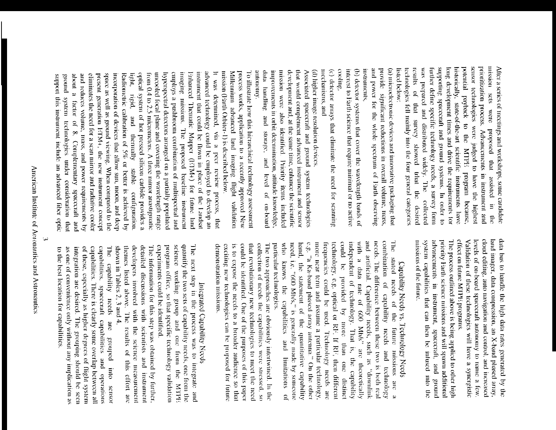prioritization process. Advancements in instrument and sensor technologies were judged to have the highest nission sets were proposed that assisted in supporting spacecraft and ground systems. In order to potential payback to the MTPE program because, After a series of meetings and workshops, some candidate technologies fell mainly into the four general categories was prepared and distributed widely. The further define specific technology needs, a survey form long development times and drive the requirements for historically, state-of-the-art scientific instruments have listed below: results of that survey showed trhat the desired collected  $\frac{1}{2}$ 

and power for the whole spectrum of Earth observing provide significant reductions in overall volume, mass, (a) microelectronic devices and innovative packaging that instruments,

(b) detector systems that cover the wavelength bands of cooling, interest to Earth science that require minimal or no active

(c) detector atrays that eliminate the need for scanning mechanisms, and

(d) higher image resolution devices

mission were also identified. Priority items included data handling and storage, and level of on-board improvements in orbit determination, attitude knowledge, that would complement advanced instrument and sensor Associated spacecraft and ground system technologies Autonome development and, at the same time, enhance the scientific

Millennium advanced land innaging flight validation process works, application to a recently approved New To illustrate how this hierarchical technology assessment mission (Farth Orbiter-1) is described below.

hyperspectral detectors arranged on a partially populated employs a pushbroom conbination of multispectral and inaging missions. The proposed baseline instrument Fahlanced Thematic Mapper (F/IM+) for future land instrument that could be flown in place of the Landsat advanced technology could be employed to develop an It was determined, via a peer review process, that light, optical system of hot pressed silicon carbide provides a space as well as ground viewing. When compared to the Radionictic calibration of 5% or better is achieved by uncooled focal plane and covering the wavelength range ground system technologies under consideration that about a factor of 8. Complementary spacecraft and eliminates the need for a scan mirror and radiative cooler present generation ETM+, the new instrument concept incorporation of devices that allow sun, moon, and deep from 0.4 to 2.5 micrometers. A three mirror anastigmatic and reduces volume, mass, and power requirements by support this instrument include an advanced fiber optic nigid, and themally stable configuration.

> land imager, data compression, an X-band phased array data bus to handle the high data rates generated by the effect on future MTPE programs. levels of on-board spacecraft autonomy to name a few cloud editing, auto navigation and control, and increased Validation of these technologies will have a syncrgistic

priority Farth science missions and will spawn additional missions of the future. system capabilities that can then be infused into the advancements in instrument, spacecraft, and ground The process outlined above is being applied to other high

# Capability Needs vs. Technology Needs

The stated needs of the future missions are a combination of capability needs and technology with a data rate of 600 Mb/s" are theoretically and artificial. Capability needs, such as "downlink nccd, technology, e.g. optical or RF. If RF, then different requencies could be used. Technology needs are could be provided by more than one distinct independent of technology. That is, the capability needs. The difference between these two is both real e.g. "a Ka-band phased array antenna." On the other more near term and assume a particular technology, particular technologies. shows the capabilities and limitations hand, the statement of the quantitative capability i.e. "600 Mb/s," is generally made by someone  $\approx$ 

that revolutionary new technologies to meet the need exciting new technologies can be proposed for future could be identified. One of the purposes of this paper collection of needs the capabilities were stressed, so The two approaches are obviously intertwined. In the demonstration missions. is to expose the needs to a broader audience so that

## Integrated Capability Needs

program office, so that specific technology validation science working group and one from the M1111 quantify the two sets of capability needs, one from the The next step in the process was to integrate and experiments could be identified.

shown in Tables  $2, 3$  and  $4$ . themes listed above. The results of this effort are developers involved with the science measurement detailed discussions with scientists and instrument The information for this step was obtained by further,

capabilities, spacecraft capabilities and operations<br>capabilities. There is clearly some overlap between all The capability needs as one of convenience only without any implication as integration are desired. The grouping should be seen of these, especially as higher degrees of flight system to the best location for capabilities. are grouped into sensor

ىئ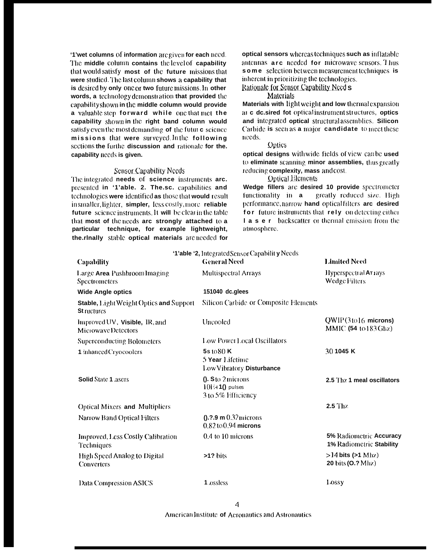'1'wet columns of information are given for each need. The middle column contains the level of capability that would satisfy most of the future missions that were studied. The last column shows a capability that is desired by only one or two future missions. In other words, a technology demonstration that provided the capability shown in the middle column would provide a valuable step forward while one that met the capability shown in the right band column would satisfy even the most demanding of the future science missions that were surveyed In the following sections the furthe discussion and rationale for the. capability needs is given.

### **Sensor Capability Needs**

The integrated needs of science instruments arc. presented in '1'able. 2. The.sc. capabilities and technologies were identified as those that would result in smaller, lighter, simpler, less costly, more reliable future science instruments. It will be clear in the table that most of the needs arc strongly attached to a particular technique, for example lightweight, the.rlnally stable optical materials are needed for optical sensors whereas techniques such as inflatable antennas arc needed for microwave sensors. Thus some selection between measurement techniques is inherent in prioritizing the technologies.

Rationalc for Sensor Capability Need s

Materials

Materials with light weight and low thermal expansion at c dc.sired fot optical instrument structures, optics and integrated optical structural assemblies. Silicon Carbide is seen as a major candidate to meet these needs.

### **Optics**

optical designs with wide fields of view can be used to eliminate scanning minor assemblies, thus greatly reducing complexity, mass and cost.

**Optical Elements** 

Wedge fillers are desired 10 provide spectrometer functionality in a greatly reduced size. High performance, narrow hand optical filters are desired for future instruments that rely on detecting either I a s e r backscatter or thermal emission from the atmosphere.

|                                                                      | '1'able '2, Integrated Sensor Capability Needs                           |                                                     |
|----------------------------------------------------------------------|--------------------------------------------------------------------------|-----------------------------------------------------|
| <b>Capability</b>                                                    | <b>General Need</b>                                                      | <b>Limited Need</b>                                 |
| Large Area PushbroomImaging<br>Spectrometers                         | <b>Multispectral Arrays</b>                                              | Hyperspectral AT1ays<br>Wedge Filters               |
| <b>Wide Angle optics</b>                                             | 151040 dc.glees                                                          |                                                     |
| <b>Stable, Light Weight Optics and Support</b><br><b>St</b> ructures | <b>Silicon Carbide or Composite Elements</b>                             |                                                     |
| Improved UV, <b>Visible</b> , IR, and<br>MicrowayeDetectors          | Uncooled                                                                 | $QWIP(31016$ microns)<br>MMIC (54 to 183 Ghz)       |
| <b>Superconducting Bolometers</b>                                    | <b>Low Power Local Oscillators</b>                                       |                                                     |
| 1 inhanced Cryocoolers                                               | 5s1080K<br>5 Year Lifetime<br>Low Vibratory Disturbance                  | 30 1045 K                                           |
| <b>Solid State 1 asers</b>                                           | $0.$ S to $2$ microns<br>$10\rightarrow 10$ pulses<br>3 to 5% Efficiency | 2.5 Thz 1 meal oscillators                          |
| <b>Optical Mixers and Multipliers</b>                                |                                                                          | $2.5$ Thz                                           |
| Narrow Band Optical Filters                                          | $(0.2.9 \text{ m } 0.32 \text{ microns})$<br>$0.82$ to $0.94$ microns    |                                                     |
| Improved, Less Costly Calibration<br>Techniques                      | 0.4 to 10 microns                                                        | 5% Radiometric Accuracy<br>1% Radiometric Stability |
| High Speed Analog to Digital<br>Converters                           | $>12 \text{ bits}$                                                       | $>14$ bits ( $>1$ Mhz)<br>20 bits (O.? Mhz)         |
| <b>Data Compression ASICS</b>                                        | 1 ossless                                                                | Lossy                                               |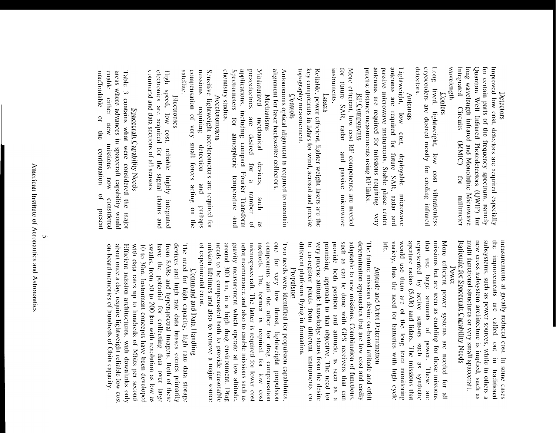### Detectors

for certain parts of the frequency spectrum, namely Improved low cost, detectors are required especially wavelength Integrated long wavelength infrared and Monolithic Microwave Quantum Well Infrared Photodecetors (QWIP) for **Circuits** (NMIC)  $101$ millimeter

### Coolers

cryocoolers are desired mostly for cooling infrared Long lived, lightweight, low cost vibrationless detectors.

### SButonuy

antennas are required for future SAR, radar and Lightweight, precise distance measurements using RF links. antennas are required for missions requiring passive microwave instruments. Stable phase center low cost, deployable алвмоющ  $\chi_{\rm COV}$ 

**RI**-Components

mstruments. for future SAR, radar More efficient, low cost RF components are needed and passive microwave

### **SISSET**

topography measurement. key components in lidars for wind, acrosol and precise Reliable, power efficient, lighter weight lasers are the

### Controls

alignment for laser backscatter collectors. Autonomous optical alignment is required to maintain

## Mechanisms

Spectrometers for atmospheric temperature chemistry studies. applications, including compact Fourier Transform prezoelectrics рэглярины are desired for mechanical devices, a number dous  $\lim_{h \to 0}$  $\tilde{a}$ æ

### Accelerometers

compensation of very small forces acting on the missions Sensitive lightweight accelerometers are required for satellite requiring detection  $_{\text{pure}}$ perhaps

High speed, low cost, reliable highly integrated electronics are required for the signal chains and command and data sections of all sensors. **Piccupanes** 

## Spacecraft Capability Needs

apple. enable either new areas where advances in spacecraft capability would unaffordable 3 contains what were considered the major  $\overline{a}$  $\frac{1}{5}$ missions continuation MON  $\tilde{a}$ considered present

> new cross subsystem architecture is implied, such as subsystems, such as power sources, while in others a multi-functional structures or very small spacecraft. the improvements are called out in traditional measurements at greatly reduced cost. In some cases

### Rationale for Spacecraft Capability Needs **Power**

life. that use large amounts of power. These are More efficient power systems are needed for all variety, thus the need for batteries with high cycle would use them are of the long term monitoring aperture radars (SAR) and lidars. The missions that represented by missions but are seen as enabling for those missions active sensors such as synthetic

# Attitude and Orbit Determination

very precise attitude knowledge stems from the desire such as can be done with GPS receivers that can adaptable to new missions. Combination of functions, determination approaches that are low cost and casily The future missions desire on-board attitude and orbit to co-register pixels from different instruments on promising approach to that objective. The need for provide both position and attitude, is seen as different platforms flying in formation.

### Propulsion

Two needs were identified for propulsion capabilities, microspacecraft. The latter is required for lower cost needs to be compensated both to provide reasonable around 300 km, in a high drag environment. Drag gravity measurement which operate at low altitude, orbit maintenance and also to enable missions such as methods. components and the other for drag compensation one for very low thrust, lightweight propulsion of experimental error. mission lifetimes and also to remove a major source The former is required for low  $1800$ 

# Command and Data Handing

swaths, from 50 to 200 km with resolution as low as have the potential for collecting data over large devices and high rate data busses comes primarily The need for high capacity, high rate data storage on-board memories of hundreds of Gbits capacity. about once a day, require lightweight reliable low cost Efficient mission architectures, with downlinks only with data rates up to hundreds of Mbits per second. 10 to 30m. Instrument concepts have been developed from SARs and hyperspectral imagers. Both of these

 $\overline{C}$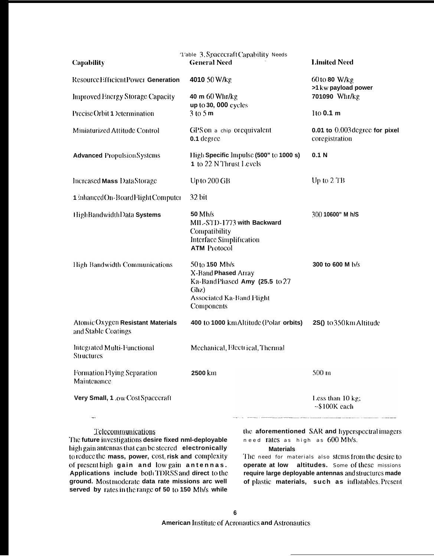| <b>Capability</b>                                                                                                                                                                                                                           | '1'able 3. Spacecraft Capability Needs<br><b>General Need</b>                                                                    | <b>Limited Need</b>                                                                                                                                                 |  |  |
|---------------------------------------------------------------------------------------------------------------------------------------------------------------------------------------------------------------------------------------------|----------------------------------------------------------------------------------------------------------------------------------|---------------------------------------------------------------------------------------------------------------------------------------------------------------------|--|--|
| Resource Efficient Power Generation                                                                                                                                                                                                         | 4010 50 W/kg                                                                                                                     | 60 to 80 W/kg<br>>1 kw payload power<br>701090 Whr/kg                                                                                                               |  |  |
| <b>Improved Energy Storage Capacity</b>                                                                                                                                                                                                     | 40 m 60 Whr/kg<br>up to 30, 000 cycles                                                                                           |                                                                                                                                                                     |  |  |
| Precise Orbit 1 Determination                                                                                                                                                                                                               | $3$ to $5$ m                                                                                                                     | 1to 0.1 m                                                                                                                                                           |  |  |
| Miniaturized Attitude Control                                                                                                                                                                                                               | GPS on a chip or equivalent<br>0.1 degree                                                                                        | 0.01 to $0.003$ degree for pixel<br>coregistration                                                                                                                  |  |  |
| <b>Advanced Propulsion Systems</b>                                                                                                                                                                                                          | High Specific Impulse (500" to 1000 s)<br>1 to 22 N Thrust Levels                                                                | 0.1 <sub>N</sub>                                                                                                                                                    |  |  |
| Increased Mass Data Storage                                                                                                                                                                                                                 | Up to 200 GB                                                                                                                     | Up to 2 TB                                                                                                                                                          |  |  |
| 1 inhanced On-Board Flight Computer                                                                                                                                                                                                         | 32 bit                                                                                                                           |                                                                                                                                                                     |  |  |
| HighBandwidthData Systems                                                                                                                                                                                                                   | 50 Mb/s<br>MIL-STD-1773 with Backward<br>Compatibility<br>Interface Simplification<br><b>ATM Protocol</b>                        | 300 10600" M h/S                                                                                                                                                    |  |  |
| High Bandwidth Communications                                                                                                                                                                                                               | 50 to 150 Mb/s<br>X-Band Phased Array<br>Ka-BandPhased Amy (25.5 to 27<br>Ghz)<br><b>Associated Ka-Band Flight</b><br>Components | 300 to 600 M b/s                                                                                                                                                    |  |  |
| Atomic Oxygen Resistant Materials<br>and Stable Coatings                                                                                                                                                                                    | 400 to 1000 km Altitude (Polar orbits)                                                                                           | 2S() to 350 km Altitude                                                                                                                                             |  |  |
| Integrated Multi-Functional<br><b>Structures</b>                                                                                                                                                                                            | Mechanical, Electrical, Thermal                                                                                                  |                                                                                                                                                                     |  |  |
| Formation Flying Separation<br>Maintenance                                                                                                                                                                                                  | 2500 km                                                                                                                          | 500 <sub>m</sub>                                                                                                                                                    |  |  |
| Very Small, 1 .ow Cost Spacecraft                                                                                                                                                                                                           |                                                                                                                                  | Less than 10 kg;<br>$~5100K$ each                                                                                                                                   |  |  |
| Telecommunications<br>The future investigations desire fixed nml-deployable<br>high gain antennas that can be steered electronically<br>to reduce the mass, power, cost, risk and complexity<br>of present high gain and low gain antennas. | need rates as high as 600 Mb/s.<br><b>Materials</b>                                                                              | the aforementioned SAR and hyperspectral imagers<br>The need for materials also stems from the desire to<br><b>operate at low altitudes.</b> Some of these missions |  |  |

 $\mathfrak{t}$ of present high gain and low gain antennas.<br>Applications include both TDRSS and direct to the ground. Most moderate data rate missions arc well served by rates in the range of 50 to 150 Mb/s while

of these require large deployable antennas and structures made of plastic materials, such as inflatables. Present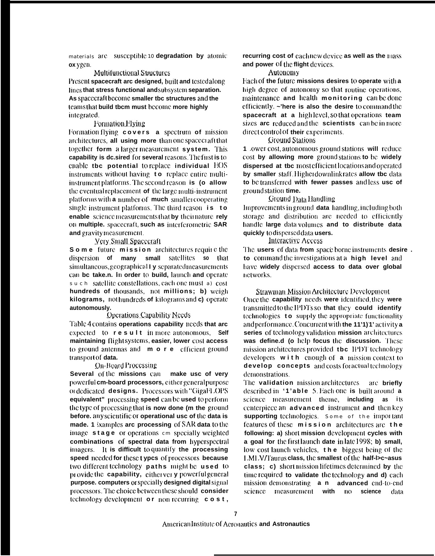materials are susceptible 10 degradation by atomic ox ygen.

**Multifunctional Structures** Present spacecraft arc designed, built and tested along lines that stress functional and subsystem separation. As spacecraft become smaller the structures and the teams that build tbcm must become more highly integrated.

### Formation Flying

Formation flying covers a spectrum of mission architectures, all using more than one spacecraft that together form a larger measurement system. This capability is dc.sired for several reasons. The first is to enable the potential to replace individual EOS instruments without having to replace entire multiinstrument platforms. The second reason is (o allow the eventual replacement of the large multi-instrument platforms with a number of much smaller cooperating single instrument platforms. The third reason is to enable science measurements that by their nature rely on multiple. spacecraft, such as interferometric SAR and gravity measurement.

### **Yery Small Spacecraft**

Some future mission architectures require the dispersion of many small satellites so that simultaneous, geographical I y separated measurements can be take.n. In order to build, launch and operate s u c h satellite constellations, each one must a) cost hundreds of thousands, not millions; b) weigh kilograms, nothundreds of kilograms and c) operate autonomously.

### **Operations Capability Needs**

Table 4 contains operations capability needs that arc expected to result in more autonomous, Self maintaining flight systems, easier, lower cost access to ground antennas and m o r e efficient ground transport of data.

### **On-Board Processing**

Several of the missions can make usc of very powerful cm-board processors, either general purpose of dedicated **designs.** Processors with "GigaH OPS" equivalent" processing speed can be used to perform the type of processing that is now done (m the ground before. any scientific or operational usc of the data is made. 1 ixamples are processing of SAR data to the image stage or operations cm specially weighted combinations of spectral data from hyperspectral imagers. It is difficult to quantify the processing speed needed for these t ypcs of processors because two different technology paths might be used to provide the capability, either very powerful general purpose. computers or specially designed digital signal processors. The choice between these should consider technology development or non recurring cost,

recurring cost of eachnew device as well as the mass and power of the flight devices.

### Autonomy

Each of the future missions desires to operate with a high degree of autonomy so that routine operations, maintenance and health monitoring can be done efficiently. ~'here is also the desire to command the spacecraft at a highlevel, so that operations team sizes are reduced and the scientists can be in more direct control of their experiments.

### **Ground Stations**

1 lower cost, autonomous ground stations will reduce cost by allowing more ground stations to be widely dispersed at tbc most efficient locations and operated by smaller staff Higherdownlinkrates allow tbc data to be transferred with fewer passes and less usc of groundstation time.

### Ground Data Handling

Improvements in ground data handling, including both storage and distribution are needed to efficiently handle large data volumes and to distribute data quickly to dispersed data users.

### Interactive Access

The users of data from space borne instruments desire. to command the investigations at a high level and have widely dispersed access to data over global networks.

**Strawman Mission Architecture Development** Once the capability needs were identified, they were transmitted to the IPDTs so that they could identify technologies to supply the appropriate functionality and performance. Concurrent with the 11'1)'1' activity a series of technology validation mission architectures was define.d (o help focus the discussion. These mission architectures provided tbc IPDT technology developers with enough of  $a$  mission context to develop concepts and costs for actual technology demonstrations.

The validation mission architectures are briefly described in  $\mathbf{A}$  able 5. Hach one is built around a science measurement theme, including as its centerpiece an advanced instrument and then key supporting technologies. Some of the important features of these mission architectures are the following: a) short mission development cycles with a goal for the first launch date in late 1998; b) small, low cost launch vehicles, the biggest being of the LMLV/Taurus class, the smallest of the half-l>c~asus class; c) short mission lifetimes determined by the time required to validate the technology and d) each mission demonstrating **a n advanced** end-to-end science measurement with no science data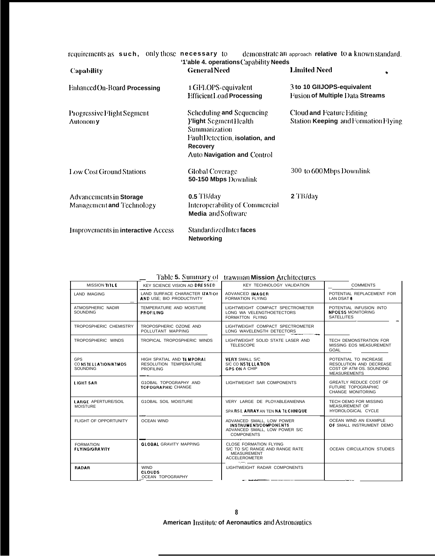| requirements as such, only those necessary to        | '1'able 4. operations Capability Needs                                                                                                                         | demonstrate an approach relative to a known standard.                |  |  |  |
|------------------------------------------------------|----------------------------------------------------------------------------------------------------------------------------------------------------------------|----------------------------------------------------------------------|--|--|--|
| <b>Capability</b>                                    | <b>General Need</b>                                                                                                                                            | <b>Limited Need</b><br>۰                                             |  |  |  |
| <b>Enhanced On-Board Processing</b>                  | 1 GFLOPS-equivalent<br><b>Hifficient Load Processing</b>                                                                                                       | 3 to 10 GIIJOPS-equivalent<br><b>Fusion of Multiple Data Streams</b> |  |  |  |
| Progressive Flight Segment<br>Autonom y              | Scheduling and Sequencing<br><b>Ylight</b> Segment Health<br>Summarization<br>FaultDetection, isolation, and<br><b>Recovery</b><br>Auto Navigation and Control | Cloud and Feature Editing<br>Station Keeping and Formation Flying    |  |  |  |
| Low Cost Ground Stations                             | <b>Global Coverage</b><br>50-150 Mbps Downlink                                                                                                                 | 300 to 600 Mbps Downlink                                             |  |  |  |
| Advancements in Storage<br>Management and Technology | $0.5$ TB/day<br>Interoperability of Commercial<br>Media and Software                                                                                           | 2 TB/day                                                             |  |  |  |
| <b>Improvements in interactive Access</b>            | Standardized Inter faces<br><b>Networking</b>                                                                                                                  |                                                                      |  |  |  |

|                                               | <b>THUIC OF DUBBBBB A</b>                                               | uawinan mission Architectures                                                                                   |                                                                                                     |
|-----------------------------------------------|-------------------------------------------------------------------------|-----------------------------------------------------------------------------------------------------------------|-----------------------------------------------------------------------------------------------------|
| MISSION TILE                                  | KEY SCIENCE VISION AD DRESSED                                           | KEY TECHNOLOGY VALIDATION                                                                                       | <b>COMMENTS</b>                                                                                     |
| <b>LAND IMAGING</b>                           | LAND SURFACE CHARACTER IZATION<br>AND USE; BIO PRODUCTIVITY             | ADVANCED IMAGER<br><b>FORMATION FLYING</b>                                                                      | POTENTIAL REPLACEMENT FOR<br>LAN DSAT 8                                                             |
| ATMOSPHERIC NADIR<br><b>SOUNDING</b>          | TEMPERATURE AND MOISTURE<br><b>PROFILING</b>                            | LIGHTWEIGHT COMPACT SPECTROMETER<br>LONG WA VELENGTHOETECTORS<br>FORMATTON FLYING                               | POTENTIAL INFUSION INTO<br><b>NPOESS MONITORING</b><br><b>SATELLITES</b>                            |
| TROPOSPHERIC CHEMISTRY                        | TROPOSPHERIC OZONE AND<br>POLLUTANT MAPPING                             | LIGHTWEIGHT COMPACT SPECTROMETER<br>LONG WAVELENGTH DETECTORS                                                   |                                                                                                     |
| TROPOSPHERIC WINDS                            | TROPICAL TROPOSPHERIC WINDS                                             | LIGHTWEIGHT SOLID STATE LASER AND<br><b>TELESCOPE</b>                                                           | TECH DEMONSTRATION FOR<br>MISSING EOS MEASUREMENT<br>GOAL                                           |
| GPS<br>CONSTELLATION/ATMOS<br><b>SOUNDING</b> | HIGH SPATIAL AND TEMPORAL<br>RESOLUTION TEMPERATURE<br><b>PROFILING</b> | <b>VERY SMALL S/C</b><br>S/C CO NSTELLATION<br><b>GPS ON A CHIP</b>                                             | POTENTIAL TO INCREASE<br>RESOLUTION AND DECREASE<br>COST OF ATM OS. SOUNDING<br><b>MEASUREMENTS</b> |
| <b>LIGHT SAR</b>                              | G1OBAL TOPOGRAPHY AND<br>TOPOGRAPHIC CHANGE                             | LIGHTWEIGHT SAR COMPONENTS                                                                                      | GREATLY REDUCE COST OF<br>FUTURE TOPOGRAPHIC<br>CHANGE MONITORING                                   |
| <b>LARGE APERTURE/SOIL</b><br><b>MOISTURE</b> | G1OBAL SOIL MOISTURE                                                    | VERY LARGE DE PLOYABLEANIENNA<br>SPA RSE ARRAY AN TEN NA TECHNIQUE                                              | TECH OEMO FOR MISSING<br><b>MEASUREMENT OF</b><br>HYDROLOGICAL CYCLE                                |
| FLIGHT OF OPPORTUNITY                         | <b>OCEAN WIND</b>                                                       | ADVANCED SMALL, LOW POWER<br><b>INSTRUMENT/COMPONENTS</b><br>ADVANCED SMALL, LOW POWER S/C<br><b>COMPONENTS</b> | OCEAN WIND AN EXAMPLE<br>OF SMALL INSTRUMENT DEMO                                                   |
| <b>FORMATION</b><br><b>FLYING/GRAVITY</b>     | <b>GLOBAL GRAVITY MAPPING</b>                                           | <b>CLOSE FORMATION FLYING</b><br>S/C TO S/C RANGE AND RANGE RATE<br><b>MEASUREMENT</b><br><b>ACCELEROMETER</b>  | <b>OCEAN CIRCULATION STUDIES</b>                                                                    |
| <b>RADAR</b>                                  | <b>WIND</b><br><b>CLOUDS</b><br>OCEAN TOPOGRAPHY                        | LIGHTWEIGHT RADAR COMPONENTS                                                                                    |                                                                                                     |